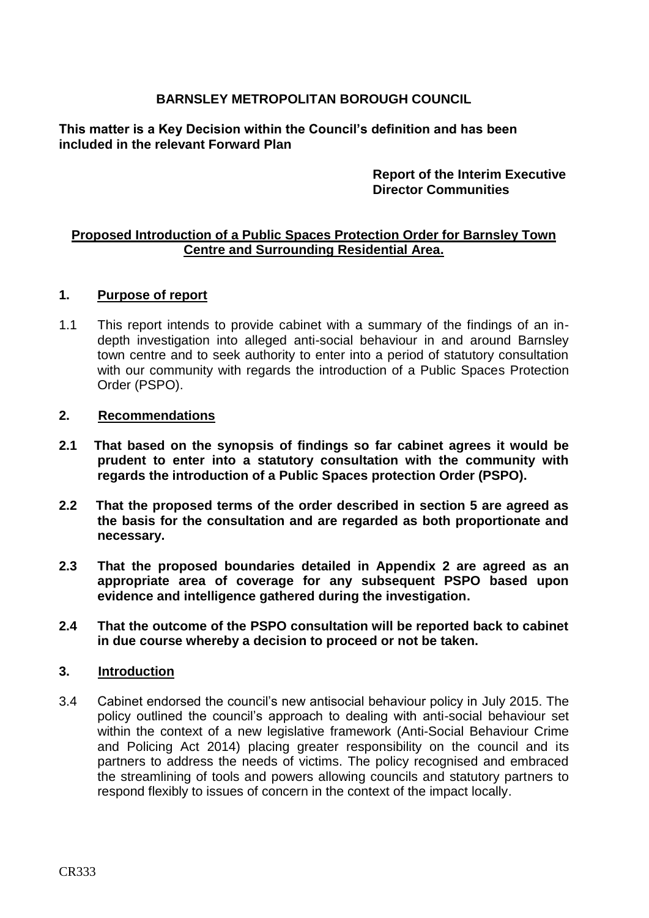# **BARNSLEY METROPOLITAN BOROUGH COUNCIL**

**This matter is a Key Decision within the Council's definition and has been included in the relevant Forward Plan** 

## **Report of the Interim Executive Director Communities**

## **Proposed Introduction of a Public Spaces Protection Order for Barnsley Town Centre and Surrounding Residential Area.**

### **1. Purpose of report**

1.1 This report intends to provide cabinet with a summary of the findings of an indepth investigation into alleged anti-social behaviour in and around Barnsley town centre and to seek authority to enter into a period of statutory consultation with our community with regards the introduction of a Public Spaces Protection Order (PSPO).

#### **2. Recommendations**

- **2.1 That based on the synopsis of findings so far cabinet agrees it would be prudent to enter into a statutory consultation with the community with regards the introduction of a Public Spaces protection Order (PSPO).**
- **2.2 That the proposed terms of the order described in section 5 are agreed as the basis for the consultation and are regarded as both proportionate and necessary.**
- **2.3 That the proposed boundaries detailed in Appendix 2 are agreed as an appropriate area of coverage for any subsequent PSPO based upon evidence and intelligence gathered during the investigation.**
- **2.4 That the outcome of the PSPO consultation will be reported back to cabinet in due course whereby a decision to proceed or not be taken.**

#### **3. Introduction**

3.4 Cabinet endorsed the council's new antisocial behaviour policy in July 2015. The policy outlined the council's approach to dealing with anti-social behaviour set within the context of a new legislative framework (Anti-Social Behaviour Crime and Policing Act 2014) placing greater responsibility on the council and its partners to address the needs of victims. The policy recognised and embraced the streamlining of tools and powers allowing councils and statutory partners to respond flexibly to issues of concern in the context of the impact locally.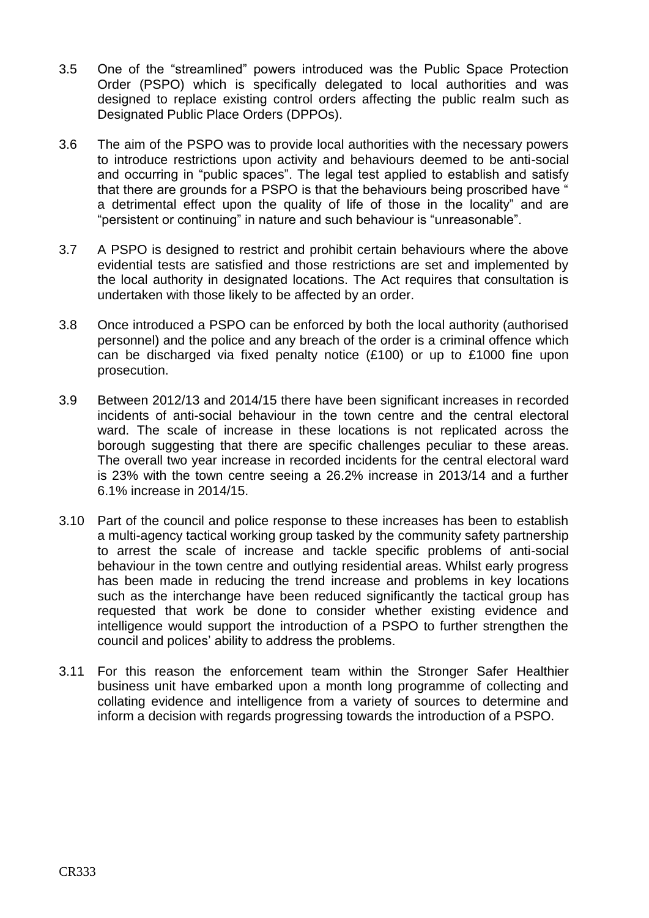- 3.5 One of the "streamlined" powers introduced was the Public Space Protection Order (PSPO) which is specifically delegated to local authorities and was designed to replace existing control orders affecting the public realm such as Designated Public Place Orders (DPPOs).
- 3.6 The aim of the PSPO was to provide local authorities with the necessary powers to introduce restrictions upon activity and behaviours deemed to be anti-social and occurring in "public spaces". The legal test applied to establish and satisfy that there are grounds for a PSPO is that the behaviours being proscribed have " a detrimental effect upon the quality of life of those in the locality" and are "persistent or continuing" in nature and such behaviour is "unreasonable".
- 3.7 A PSPO is designed to restrict and prohibit certain behaviours where the above evidential tests are satisfied and those restrictions are set and implemented by the local authority in designated locations. The Act requires that consultation is undertaken with those likely to be affected by an order.
- 3.8 Once introduced a PSPO can be enforced by both the local authority (authorised personnel) and the police and any breach of the order is a criminal offence which can be discharged via fixed penalty notice (£100) or up to £1000 fine upon prosecution.
- 3.9 Between 2012/13 and 2014/15 there have been significant increases in recorded incidents of anti-social behaviour in the town centre and the central electoral ward. The scale of increase in these locations is not replicated across the borough suggesting that there are specific challenges peculiar to these areas. The overall two year increase in recorded incidents for the central electoral ward is 23% with the town centre seeing a 26.2% increase in 2013/14 and a further 6.1% increase in 2014/15.
- 3.10 Part of the council and police response to these increases has been to establish a multi-agency tactical working group tasked by the community safety partnership to arrest the scale of increase and tackle specific problems of anti-social behaviour in the town centre and outlying residential areas. Whilst early progress has been made in reducing the trend increase and problems in key locations such as the interchange have been reduced significantly the tactical group has requested that work be done to consider whether existing evidence and intelligence would support the introduction of a PSPO to further strengthen the council and polices' ability to address the problems.
- 3.11 For this reason the enforcement team within the Stronger Safer Healthier business unit have embarked upon a month long programme of collecting and collating evidence and intelligence from a variety of sources to determine and inform a decision with regards progressing towards the introduction of a PSPO.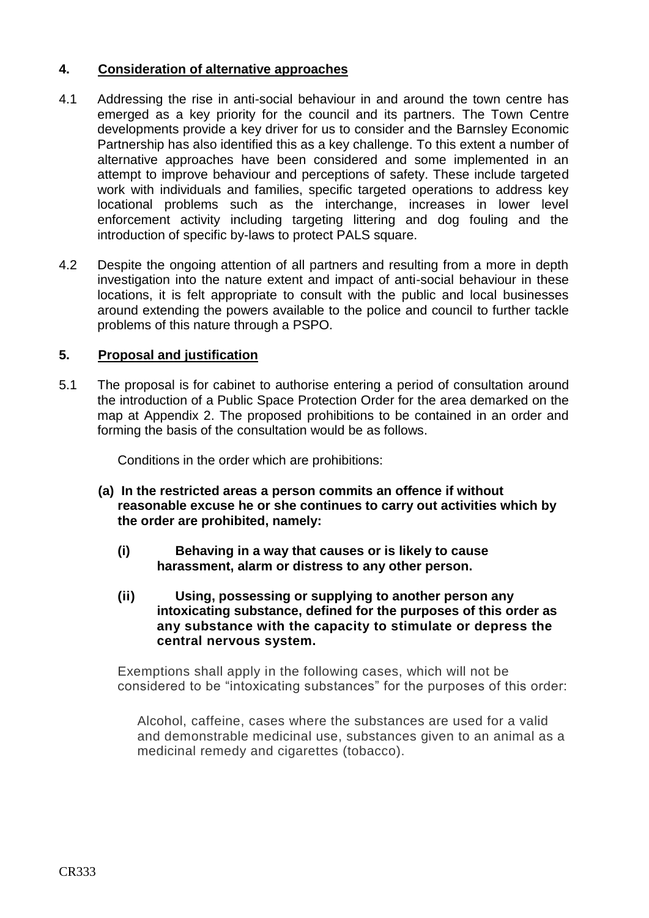# **4. Consideration of alternative approaches**

- 4.1 Addressing the rise in anti-social behaviour in and around the town centre has emerged as a key priority for the council and its partners. The Town Centre developments provide a key driver for us to consider and the Barnsley Economic Partnership has also identified this as a key challenge. To this extent a number of alternative approaches have been considered and some implemented in an attempt to improve behaviour and perceptions of safety. These include targeted work with individuals and families, specific targeted operations to address key locational problems such as the interchange, increases in lower level enforcement activity including targeting littering and dog fouling and the introduction of specific by-laws to protect PALS square.
- 4.2 Despite the ongoing attention of all partners and resulting from a more in depth investigation into the nature extent and impact of anti-social behaviour in these locations, it is felt appropriate to consult with the public and local businesses around extending the powers available to the police and council to further tackle problems of this nature through a PSPO.

# **5. Proposal and justification**

5.1 The proposal is for cabinet to authorise entering a period of consultation around the introduction of a Public Space Protection Order for the area demarked on the map at Appendix 2. The proposed prohibitions to be contained in an order and forming the basis of the consultation would be as follows.

Conditions in the order which are prohibitions:

- **(a) In the restricted areas a person commits an offence if without reasonable excuse he or she continues to carry out activities which by the order are prohibited, namely:**
	- **(i) Behaving in a way that causes or is likely to cause harassment, alarm or distress to any other person.**
	- **(ii) Using, possessing or supplying to another person any intoxicating substance, defined for the purposes of this order as any substance with the capacity to stimulate or depress the central nervous system.**

Exemptions shall apply in the following cases, which will not be considered to be "intoxicating substances" for the purposes of this order:

Alcohol, caffeine, cases where the substances are used for a valid and demonstrable medicinal use, substances given to an animal as a medicinal remedy and cigarettes (tobacco).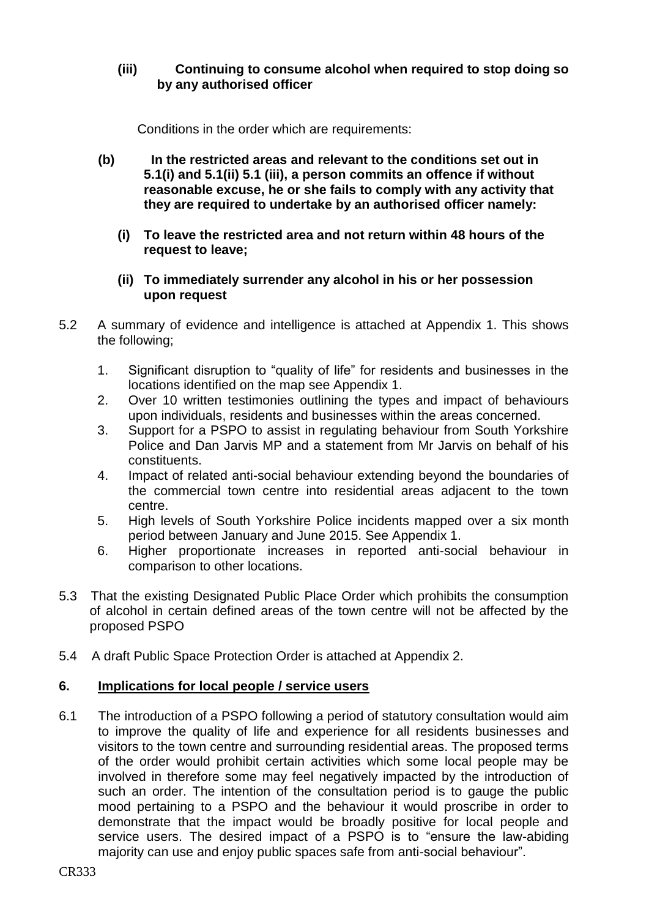# **(iii) Continuing to consume alcohol when required to stop doing so by any authorised officer**

Conditions in the order which are requirements:

- **(b) In the restricted areas and relevant to the conditions set out in 5.1(i) and 5.1(ii) 5.1 (iii), a person commits an offence if without reasonable excuse, he or she fails to comply with any activity that they are required to undertake by an authorised officer namely:**
	- **(i) To leave the restricted area and not return within 48 hours of the request to leave;**
	- **(ii) To immediately surrender any alcohol in his or her possession upon request**
- 5.2 A summary of evidence and intelligence is attached at Appendix 1. This shows the following;
	- 1. Significant disruption to "quality of life" for residents and businesses in the locations identified on the map see Appendix 1.
	- 2. Over 10 written testimonies outlining the types and impact of behaviours upon individuals, residents and businesses within the areas concerned.
	- 3. Support for a PSPO to assist in regulating behaviour from South Yorkshire Police and Dan Jarvis MP and a statement from Mr Jarvis on behalf of his constituents.
	- 4. Impact of related anti-social behaviour extending beyond the boundaries of the commercial town centre into residential areas adjacent to the town centre.
	- 5. High levels of South Yorkshire Police incidents mapped over a six month period between January and June 2015. See Appendix 1.
	- 6. Higher proportionate increases in reported anti-social behaviour in comparison to other locations.
- 5.3 That the existing Designated Public Place Order which prohibits the consumption of alcohol in certain defined areas of the town centre will not be affected by the proposed PSPO
- 5.4 A draft Public Space Protection Order is attached at Appendix 2.

## **6. Implications for local people / service users**

6.1 The introduction of a PSPO following a period of statutory consultation would aim to improve the quality of life and experience for all residents businesses and visitors to the town centre and surrounding residential areas. The proposed terms of the order would prohibit certain activities which some local people may be involved in therefore some may feel negatively impacted by the introduction of such an order. The intention of the consultation period is to gauge the public mood pertaining to a PSPO and the behaviour it would proscribe in order to demonstrate that the impact would be broadly positive for local people and service users. The desired impact of a PSPO is to "ensure the law-abiding majority can use and enjoy public spaces safe from anti-social behaviour".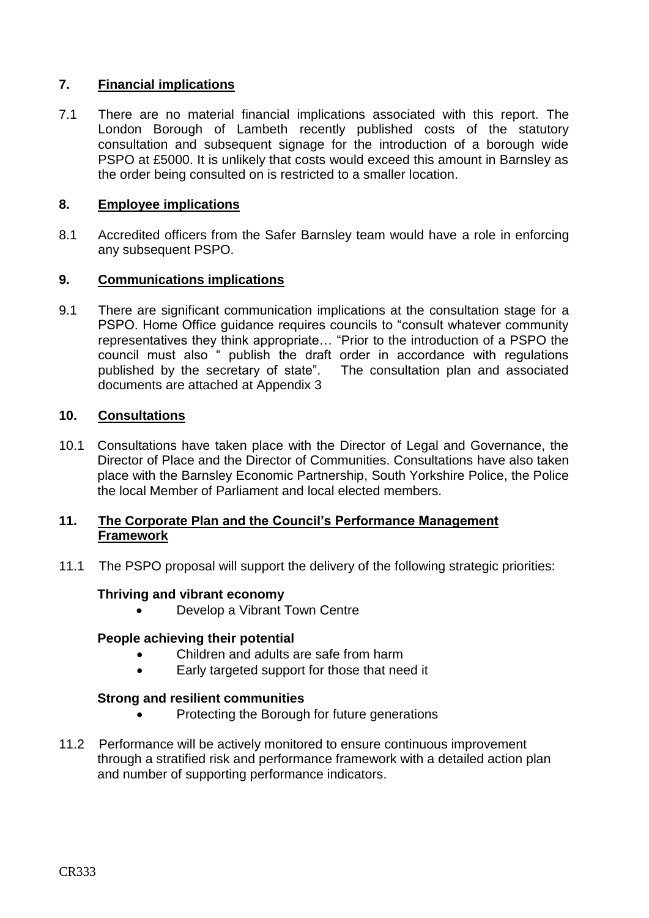# **7. Financial implications**

7.1 There are no material financial implications associated with this report. The London Borough of Lambeth recently published costs of the statutory consultation and subsequent signage for the introduction of a borough wide PSPO at £5000. It is unlikely that costs would exceed this amount in Barnsley as the order being consulted on is restricted to a smaller location.

## **8. Employee implications**

8.1 Accredited officers from the Safer Barnsley team would have a role in enforcing any subsequent PSPO.

## **9. Communications implications**

9.1 There are significant communication implications at the consultation stage for a PSPO. Home Office guidance requires councils to "consult whatever community representatives they think appropriate… "Prior to the introduction of a PSPO the council must also " publish the draft order in accordance with regulations published by the secretary of state". The consultation plan and associated documents are attached at Appendix 3

## **10. Consultations**

10.1 Consultations have taken place with the Director of Legal and Governance, the Director of Place and the Director of Communities. Consultations have also taken place with the Barnsley Economic Partnership, South Yorkshire Police, the Police the local Member of Parliament and local elected members.

## **11. The Corporate Plan and the Council's Performance Management Framework**

11.1 The PSPO proposal will support the delivery of the following strategic priorities:

#### **Thriving and vibrant economy**

Develop a Vibrant Town Centre

## **People achieving their potential**

- Children and adults are safe from harm
- Early targeted support for those that need it

## **Strong and resilient communities**

- Protecting the Borough for future generations
- 11.2 Performance will be actively monitored to ensure continuous improvement through a stratified risk and performance framework with a detailed action plan and number of supporting performance indicators.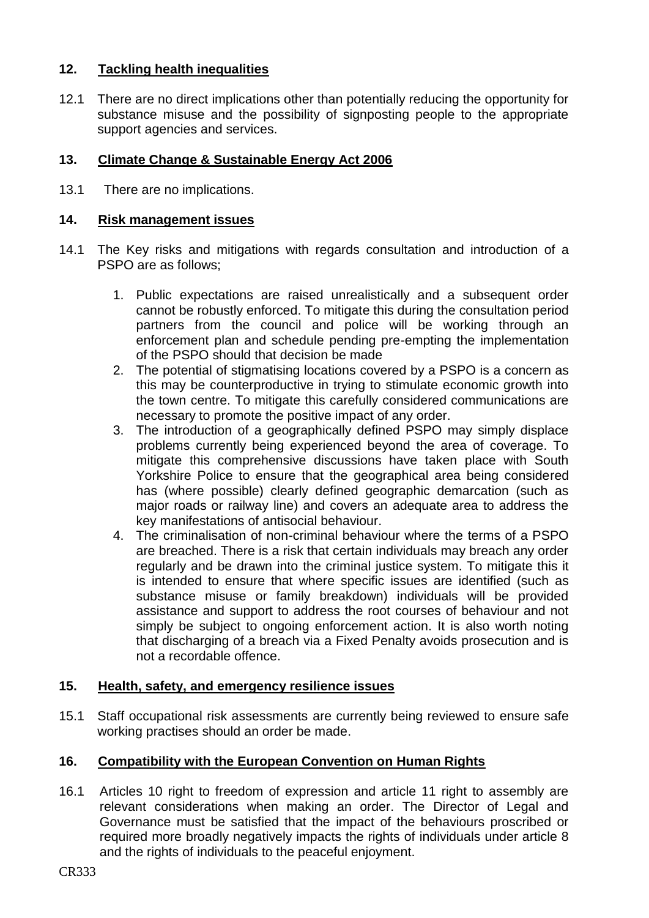# **12. Tackling health inequalities**

12.1 There are no direct implications other than potentially reducing the opportunity for substance misuse and the possibility of signposting people to the appropriate support agencies and services.

# **13. Climate Change & Sustainable Energy Act 2006**

13.1 There are no implications.

## **14. Risk management issues**

- 14.1 The Key risks and mitigations with regards consultation and introduction of a PSPO are as follows;
	- 1. Public expectations are raised unrealistically and a subsequent order cannot be robustly enforced. To mitigate this during the consultation period partners from the council and police will be working through an enforcement plan and schedule pending pre-empting the implementation of the PSPO should that decision be made
	- 2. The potential of stigmatising locations covered by a PSPO is a concern as this may be counterproductive in trying to stimulate economic growth into the town centre. To mitigate this carefully considered communications are necessary to promote the positive impact of any order.
	- 3. The introduction of a geographically defined PSPO may simply displace problems currently being experienced beyond the area of coverage. To mitigate this comprehensive discussions have taken place with South Yorkshire Police to ensure that the geographical area being considered has (where possible) clearly defined geographic demarcation (such as major roads or railway line) and covers an adequate area to address the key manifestations of antisocial behaviour.
	- 4. The criminalisation of non-criminal behaviour where the terms of a PSPO are breached. There is a risk that certain individuals may breach any order regularly and be drawn into the criminal justice system. To mitigate this it is intended to ensure that where specific issues are identified (such as substance misuse or family breakdown) individuals will be provided assistance and support to address the root courses of behaviour and not simply be subject to ongoing enforcement action. It is also worth noting that discharging of a breach via a Fixed Penalty avoids prosecution and is not a recordable offence.

## **15. Health, safety, and emergency resilience issues**

15.1 Staff occupational risk assessments are currently being reviewed to ensure safe working practises should an order be made.

# **16. Compatibility with the European Convention on Human Rights**

16.1 Articles 10 right to freedom of expression and article 11 right to assembly are relevant considerations when making an order. The Director of Legal and Governance must be satisfied that the impact of the behaviours proscribed or required more broadly negatively impacts the rights of individuals under article 8 and the rights of individuals to the peaceful enjoyment.